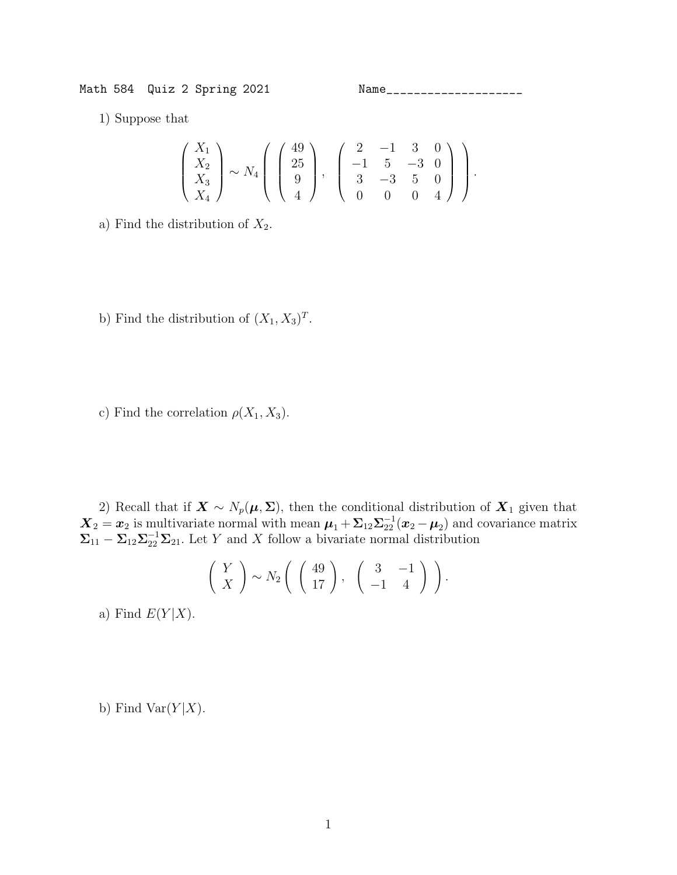Math 584 Quiz 2 Spring 2021 Name\_\_\_\_\_\_\_\_\_\_\_\_\_\_\_\_\_\_\_\_

1) Suppose that

$$
\begin{pmatrix} X_1 \\ X_2 \\ X_3 \\ X_4 \end{pmatrix} \sim N_4 \begin{pmatrix} 49 \\ 25 \\ 9 \\ 4 \end{pmatrix}, \begin{pmatrix} 2 & -1 & 3 & 0 \\ -1 & 5 & -3 & 0 \\ 3 & -3 & 5 & 0 \\ 0 & 0 & 0 & 4 \end{pmatrix}.
$$

- a) Find the distribution of  $X_2$ .
- b) Find the distribution of  $(X_1, X_3)^T$ .
- c) Find the correlation  $\rho(X_1, X_3)$ .

2) Recall that if  $\mathbf{X} \sim N_p(\boldsymbol{\mu}, \boldsymbol{\Sigma})$ , then the conditional distribution of  $\mathbf{X}_1$  given that  $\mathbf{X}_2 = \mathbf{x}_2$  is multivariate normal with mean  $\boldsymbol{\mu}_1 + \boldsymbol{\Sigma}_{12} \boldsymbol{\Sigma}_{22}^{-1} (\mathbf{x}_2 - \boldsymbol{\mu}_2)$  and covariance matrix  $\Sigma_{11} - \Sigma_{12} \Sigma_{22}^{-1} \Sigma_{21}$ . Let Y and X follow a bivariate normal distribution

$$
\left(\begin{array}{c} Y \\ X \end{array}\right) \sim N_2 \left(\begin{array}{c} 49 \\ 17 \end{array}\right), \quad \left(\begin{array}{cc} 3 & -1 \\ -1 & 4 \end{array}\right) \end{array}.
$$

a) Find  $E(Y|X)$ .

b) Find Var $(Y|X)$ .